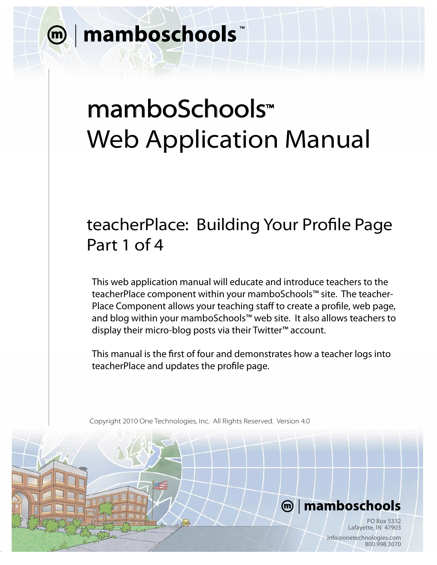### mamboSchools Web Application Manual ™

### teacherPlace: Building Your Profile Page Part 1 of 4

This web application manual will educate and introduce teachers to the teacherPlace component within your mamboSchools™ site. The teacher-Place Component allows your teaching staff to create a profile, web page, and blog within your mamboSchools™ web site. It also allows teachers to display their micro-blog posts via their Twitter™ account.

This manual is the first of four and demonstrates how a teacher logs into teacherPlace and updates the profile page.

Copyright 2010 One Technologies, Inc. All Rights Reserved. Version 4.0

### m | mamboschools

PO Box 5332 Lafayette, IN 47903 info@onetechnologies.com 800.998.3070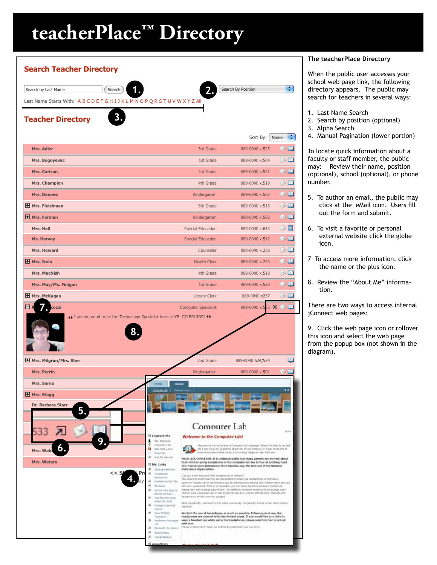### **teacherPlace™ Directory**



hatebo maintenten

#### **The teacherPlace Directory**

When the public user accesses your school web page link, the following directory appears. The public may search for teachers in several ways:

- 1. Last Name Search
- 2. Search by position (optional)
- 3. Alpha Search
- 4. Manual Pagination (lower portion)

To locate quick information about a faculty or staff member, the public may: Review their name, position (optional), school (optional), or phone number.

- 5. To author an email, the public may click at the eMail icon. Users fill out the form and submit.
- 6. To visit a favorite or personal external website click the globe icon.
- 7 To access more information, click the name or the plus icon.
- 8. Review the "About Me" information.

There are two ways to access internal jConnect web pages:

9. Click the web page icon or rollover this icon and select the web page from the popup box (not shown in the diagram).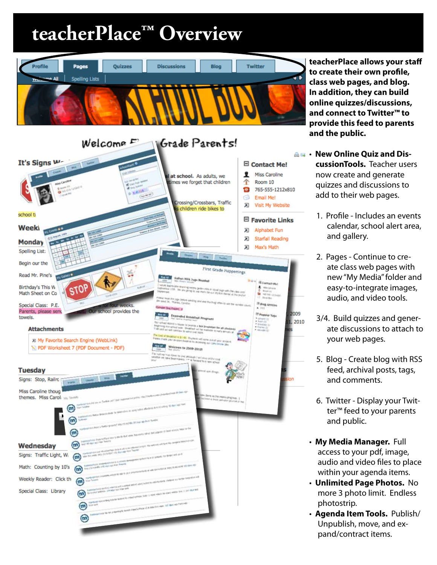### **teacherPlace™ Overview**



**teacherPlace allows your staff to create their own profile, class web pages, and blog. In addition, they can build online quizzes/discussions, and connect to Twitter™ to provide this feed to parents and the public.**

- **cussionTools.** Teacher users now create and generate quizzes and discussions to add to their web pages. 1. Profile - Includes an events calendar, school alert area, and gallery.
	- 2. Pages Continue to create class web pages with new "My Media" folder and easy-to-integrate images, audio, and video tools.
	- 3/4. Build quizzes and generate discussions to attach to your web pages.
	- 5. Blog Create blog with RSS feed, archival posts, tags, and comments.
	- 6. Twitter Display your Twitter™ feed to your parents and public.
	- **My Media Manager.** Full access to your pdf, image, audio and video files to place within your agenda items.
	- **Unlimited Page Photos.** No more 3 photo limit. Endless photostrip.
	- **Agenda Item Tools.** Publish/ Unpublish, move, and expand/contract items.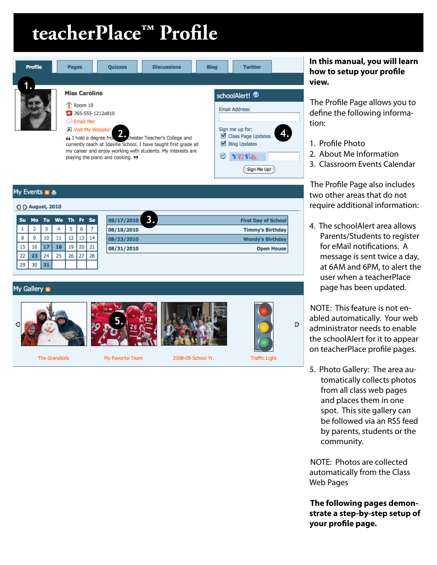## **1. teacherPlace™ Profile 15.**



#### My Events a a

#### ○ D August, 2010

| 08/17/2010 |    |           |    | Mo Tu We Th Fr Sa |    |    | - Su |
|------------|----|-----------|----|-------------------|----|----|------|
| 08/18/2010 |    |           | 5  | 4                 | 3  |    |      |
| 08/23/2010 | 14 | 13        | 12 |                   | 10 |    | 8    |
| 08/31/2010 |    | $20$   21 | 19 | 18                | 17 | 16 | 15   |
|            | 28 | 27        | 26 | 25                | 24 | 23 | 22   |
|            |    |           |    |                   | 31 | 30 | 29   |

#### My Gallery **N**









 $\circ$ 

#### **In this manual, you will learn how to setup your profile view.**

The Profile Page allows you to define the following information:

- 1. Profile Photo
- 2. About Me Information
- 3. Classroom Events Calendar

The Profile Page also includes two other areas that do not require additional information:

4. The schoolAlert area allows Parents/Students to register for eMail notifications. A message is sent twice a day, at 6AM and 6PM, to alert the user when a teacherPlace page has been updated.

NOTE: This feature is not enabled automatically. Your web administrator needs to enable the schoolAlert for it to appear on teacherPlace profile pages.

5. Photo Gallery: The area automatically collects photos from all class web pages and places them in one spot. This site gallery can be followed via an RSS feed by parents, students or the community.

NOTE: Photos are collected automatically from the Class Web Pages

**The following pages demonstrate a step-by-step setup of your profile page.**

The Grandkids

My Favorite Team

2008-09 School Yr.

**Traffic Light**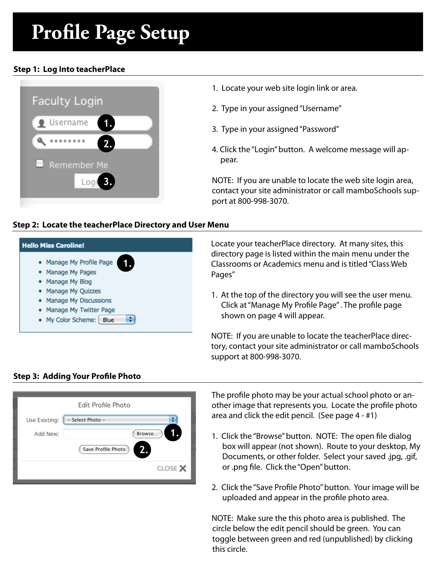# **Profile Page Setup**

#### **Step 1: Log Into teacherPlace**



- 1. Locate your web site login link or area.
- 2. Type in your assigned "Username"
- 3. Type in your assigned "Password"
- 4. Click the "Login" button. A welcome message will appear.

NOTE: If you are unable to locate the web site login area, contact your site administrator or call mamboSchools support at 800-998-3070.

#### **Step 2: Locate the teacherPlace Directory and User Menu**



Locate your teacherPlace directory. At many sites, this directory page is listed within the main menu under the Classrooms or Academics menu and is titled "Class Web Pages"

1. At the top of the directory you will see the user menu. Click at "Manage My Profile Page" . The profile page shown on page 4 will appear.

NOTE: If you are unable to locate the teacherPlace directory, contact your site administrator or call mamboSchools support at 800-998-3070.



#### **Step 3: Adding Your Profile Photo**

The profile photo may be your actual school photo or another image that represents you. Locate the profile photo area and click the edit pencil. (See page 4 - #1)

- 1. Click the "Browse" button. NOTE: The open file dialog box will appear (not shown). Route to your desktop, My Documents, or other folder. Select your saved .jpg, .gif, or .png file. Click the "Open" button.
- 2. Click the "Save Profile Photo" button. Your image will be uploaded and appear in the profile photo area.

NOTE: Make sure the this photo area is published. The circle below the edit pencil should be green. You can toggle between green and red (unpublished) by clicking this circle.